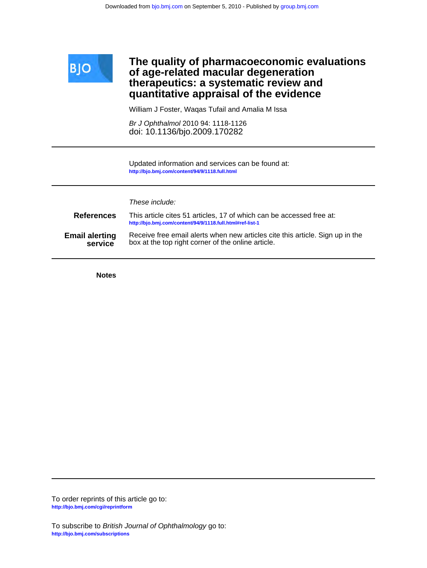

# **quantitative appraisal of the evidence therapeutics: a systematic review and of age-related macular degeneration The quality of pharmacoeconomic evaluations**

William J Foster, Waqas Tufail and Amalia M Issa

doi: 10.1136/bjo.2009.170282 Br J Ophthalmol 2010 94: 1118-1126

**<http://bjo.bmj.com/content/94/9/1118.full.html>** Updated information and services can be found at:

|                                  | These include:                                                                                                                      |
|----------------------------------|-------------------------------------------------------------------------------------------------------------------------------------|
| <b>References</b>                | This article cites 51 articles, 17 of which can be accessed free at:<br>http://bjo.bmj.com/content/94/9/1118.full.html#ref-list-1   |
| <b>Email alerting</b><br>service | Receive free email alerts when new articles cite this article. Sign up in the<br>box at the top right corner of the online article. |

**Notes**

**<http://bjo.bmj.com/cgi/reprintform>** To order reprints of this article go to: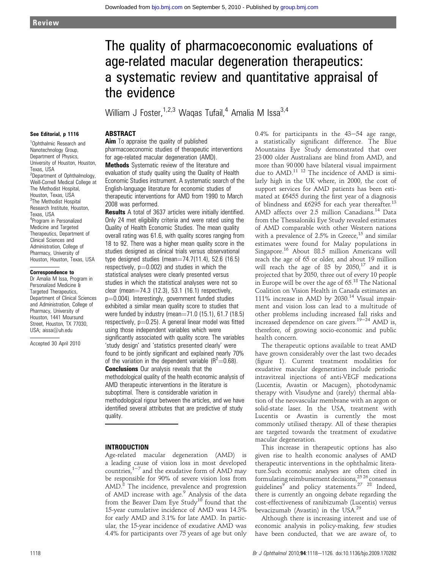# The quality of pharmacoeconomic evaluations of age-related macular degeneration therapeutics: a systematic review and quantitative appraisal of the evidence

William J Foster,  $1,2,3$  Wagas Tufail,  $4$  Amalia M Issa $3,4$ 

# See Editorial, p 1116

1 Ophthalmic Research and Nanotechnology Group, Department of Physics, University of Houston, Houston, Texas, USA <sup>2</sup>Department of Ophthalmology, Weill-Cornell Medical College at The Methodist Hospital, Houston, Texas, USA <sup>3</sup>The Methodist Hospital Research Institute, Houston, Texas, USA 4 Program in Personalized Medicine and Targeted Therapeutics, Department of Clinical Sciences and Administration, College of Pharmacy, University of Houston, Houston, Texas, USA

# Correspondence to

Dr Amalia M Issa, Program in Personalized Medicine & Targeted Therapeutics. Department of Clinical Sciences and Administration, College of Pharmacy, University of Houston, 1441 Moursund Street, Houston, TX 77030, USA; aissa@uh.edu

Accepted 30 April 2010

### ABSTRACT

Aim To appraise the quality of published pharmacoeconomic studies of therapeutic interventions for age-related macular degeneration (AMD).

Methods Systematic review of the literature and evaluation of study quality using the Quality of Health Economic Studies instrument. A systematic search of the English-language literature for economic studies of therapeutic interventions for AMD from 1990 to March 2008 was performed.

**Results** A total of 3637 articles were initially identified. Only 24 met eligibility criteria and were rated using the Quality of Health Economic Studies. The mean quality overall rating was 61.6, with quality scores ranging from 18 to 92. There was a higher mean quality score in the studies designed as clinical trials versus observational type designed studies (mean= $74.7(11.4)$ , 52.6 (16.5) respectively,  $p=0.002$ ) and studies in which the statistical analyses were clearly presented versus studies in which the statistical analyses were not so clear (mean=74.3 (12.3), 53.1 (16.1) respectively,  $p=0.004$ ). Interestingly, government funded studies exhibited a similar mean quality score to studies that were funded by industry (mean=71.0 (15.1), 61.7 (18.5) respectively,  $p=0.25$ ). A general linear model was fitted using those independent variables which were significantly associated with quality score. The variables 'study design' and 'statistics presented clearly' were found to be jointly significant and explained nearly 70% of the variation in the dependent variable  $(R^2=0.68)$ . **Conclusions** Our analysis reveals that the methodological quality of the health economic analysis of AMD therapeutic interventions in the literature is suboptimal. There is considerable variation in methodological rigour between the articles, and we have identified several attributes that are predictive of study quality.

# INTRODUCTION

Age-related macular degeneration (AMD) is a leading cause of vision loss in most developed countries, $1^{-7}$  and the exudative form of AMD may be responsible for 90% of severe vision loss from  $AMD<sup>8</sup>$  The incidence, prevalence and progression of AMD increase with age.<sup>9</sup> Analysis of the data from the Beaver Dam Eye Study<sup>10</sup> found that the 15-year cumulative incidence of AMD was 14.3% for early AMD and 3.1% for late AMD. In particular, the 15-year incidence of exudative AMD was 4.4% for participants over 75 years of age but only

0.4% for participants in the  $43-54$  age range, a statistically significant difference. The Blue Mountains Eye Study demonstrated that over 23 000 older Australians are blind from AMD, and more than 90 000 have bilateral visual impairment due to AMD.11 12 The incidence of AMD is similarly high in the UK where, in 2000, the cost of support services for AMD patients has been estimated at £6455 during the first year of a diagnosis of blindness and £6295 for each year thereafter.<sup>13</sup> AMD affects over 2.5 million Canadians.<sup>14</sup> Data from the Thessaloniki Eye Study revealed estimates of AMD comparable with other Western nations with a prevalence of 2.5% in Greece,<sup>15</sup> and similar estimates were found for Malay populations in Singapore.<sup>16</sup> About 88.5 million Americans will reach the age of 65 or older, and about 19 million will reach the age of 85 by  $2050$ ,<sup>17</sup> and it is projected that by 2050, three out of every 10 people in Europe will be over the age of  $65<sup>18</sup>$  The National Coalition on Vision Health in Canada estimates an 111% increase in AMD by 2030.<sup>14</sup> Visual impairment and vision loss can lead to a multitude of other problems including increased fall risks and increased dependence on care givers. $^{19-24}$  AMD is, therefore, of growing socio-economic and public health concern.

The therapeutic options available to treat AMD have grown considerably over the last two decades (figure 1). Current treatment modalities for exudative macular degeneration include periodic intravitreal injections of anti-VEGF medications (Lucentis, Avastin or Macugen), photodynamic therapy with Visudyne and (rarely) thermal ablation of the neovascular membrane with an argon or solid-state laser. In the USA, treatment with Lucentis or Avastin is currently the most commonly utilised therapy. All of these therapies are targeted towards the treatment of exudative macular degeneration.

This increase in therapeutic options has also given rise to health economic analyses of AMD therapeutic interventions in the ophthalmic literature.Such economic analyses are often cited in formulating reimbursement decisions,25 <sup>26</sup> consensus guidelines<sup>9</sup> and policy statements.<sup>27</sup> <sup>28</sup> Indeed, there is currently an ongoing debate regarding the cost-effectiveness of ranibizumab (Lucentis) versus bevacizumab (Avastin) in the USA.29

Although there is increasing interest and use of economic analysis in policy-making, few studies have been conducted, that we are aware of, to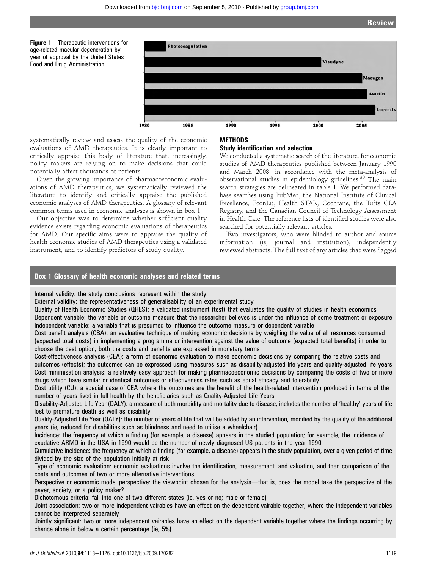**Figure 1** Therapeutic interventions for age-related macular degeneration by year of approval by the United States Food and Drug Administration.



systematically review and assess the quality of the economic evaluations of AMD therapeutics. It is clearly important to critically appraise this body of literature that, increasingly, policy makers are relying on to make decisions that could potentially affect thousands of patients.

Given the growing importance of pharmacoeconomic evaluations of AMD therapeutics, we systematically reviewed the literature to identify and critically appraise the published economic analyses of AMD therapeutics. A glossary of relevant common terms used in economic analyses is shown in box 1.

Our objective was to determine whether sufficient quality evidence exists regarding economic evaluations of therapeutics for AMD. Our specific aims were to appraise the quality of health economic studies of AMD therapeutics using a validated instrument, and to identify predictors of study quality.

# **METHODS**

# Study identification and selection

We conducted a systematic search of the literature, for economic studies of AMD therapeutics published between January 1990 and March 2008; in accordance with the meta-analysis of observational studies in epidemiology guidelines.<sup>30</sup> The main search strategies are delineated in table 1. We performed database searches using PubMed, the National Institute of Clinical Excellence, EconLit, Health STAR, Cochrane, the Tufts CEA Registry, and the Canadian Council of Technology Assessment in Health Care. The reference lists of identified studies were also searched for potentially relevant articles.

Two investigators, who were blinded to author and source information (ie, journal and institution), independently reviewed abstracts. The full text of any articles that were flagged

# Box 1 Glossary of health economic analyses and related terms

Internal validity: the study conclusions represent within the study

External validity: the representativeness of generalisability of an experimental study

Quality of Health Economic Studies (QHES): a validated instrument (test) that evaluates the quality of studies in health economics Dependent variable: the variable or outcome measure that the researcher believes is under the influence of some treatment or exposure Independent variable: a variable that is presumed to influence the outcome measure or dependent vairable

Cost benefit analysis (CBA): an evaluative technique of making economic decisions by weighing the value of all resources consumed (expected total costs) in implementing a programme or intervention against the value of outcome (expected total benefits) in order to choose the best option; both the costs and benefits are expressed in monetary terms

Cost-effectiveness analysis (CEA): a form of economic evaluation to make economic decisions by comparing the relative costs and outcomes (effects); the outcomes can be expressed using measures such as disability-adjusted life years and quality-adjusted life years Cost minimisation analysis: a relatively easy approach for making pharmacoeconomic decisions by comparing the costs of two or more drugs which have similar or identical outcomes or effectiveness rates such as equal efficacy and tolerability

Cost utility (CU): a special case of CEA where the outcomes are the benefit of the health-related intervention produced in terms of the number of years lived in full health by the beneficiaries such as Quality-Adjusted Life Years

Disability-Adjusted Life Year (DALY): a measure of both morbidity and mortality due to disease; includes the number of 'healthy' years of life lost to premature death as well as disability

Quality-Adjusted Life Year (QALY): the number of years of life that will be added by an intervention, modified by the quality of the additional years (ie, reduced for disabilities such as blindness and need to utilise a wheelchair)

Incidence: the frequency at which a finding (for example, a disease) appears in the studied population; for example, the incidence of exudative ARMD in the USA in 1990 would be the number of newly diagnosed US patients in the year 1990

Cumulative incidence: the frequency at which a finding (for example, a disease) appears in the study population, over a given period of time divided by the size of the population initially at risk

Type of economic evaluation: economic evaluations involve the identification, measurement, and valuation, and then comparison of the costs and outcomes of two or more alternative interventions

Perspective or economic model perspective: the viewpoint chosen for the analysis—that is, does the model take the perspective of the payer, society, or a policy maker?

Dichotomous criteria: fall into one of two different states (ie, yes or no; male or female)

Joint association: two or more independent vairables have an effect on the dependent vairable together, where the independent variables cannot be interpreted separately

Jointly significant: two or more independent vairables have an effect on the dependent variable together where the findings occurring by chance alone in below a certain percentage (ie, 5%)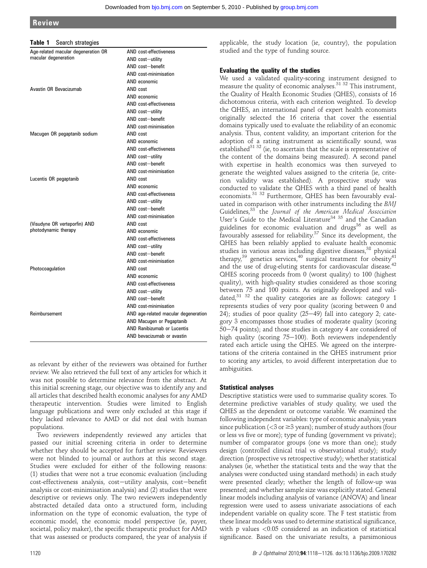#### Review

#### Table 1 Search strategies

| Age-related macular degeneration OR | AND cost-effectiveness               |
|-------------------------------------|--------------------------------------|
| macular degeneration                | AND cost-utility                     |
|                                     | AND cost-benefit                     |
|                                     | AND cost-minimisation                |
|                                     | AND economic                         |
| Avastin OR Bevacizumab              | AND cost                             |
|                                     | AND economic                         |
|                                     | AND cost-effectiveness               |
|                                     | AND cost-utility                     |
|                                     | AND cost-benefit                     |
|                                     | AND cost-minimisation                |
| Macugen OR pegaptanib sodium        | AND cost                             |
|                                     | AND economic                         |
|                                     | AND cost-effectiveness               |
|                                     | AND cost-utility                     |
|                                     | AND cost-benefit                     |
|                                     | AND cost-minimisation                |
| Lucentis OR pegaptanib              | AND cost                             |
|                                     | AND economic                         |
|                                     | AND cost-effectiveness               |
|                                     | AND cost-utility                     |
|                                     | AND cost-benefit                     |
|                                     | AND cost-minimisation                |
| (Visudyne OR verteporfin) AND       | AND cost                             |
| photodynamic therapy                | AND economic                         |
|                                     | AND cost-effectiveness               |
|                                     | AND cost-utility                     |
|                                     | AND cost-benefit                     |
|                                     | AND cost-minimisation                |
| Photocoagulation                    | AND cost                             |
|                                     | AND economic                         |
|                                     | AND cost-effectiveness               |
|                                     | AND cost-utility                     |
|                                     | AND cost-benefit                     |
|                                     | AND cost-minimisation                |
| Reimbursement                       | AND age-related macular degeneration |
|                                     | AND Macugen or Pegaptanib            |
|                                     | AND Ranibizumab or Lucentis          |
|                                     | AND bevacizumab or avastin           |

as relevant by either of the reviewers was obtained for further review. We also retrieved the full text of any articles for which it was not possible to determine relevance from the abstract. At this initial screening stage, our objective was to identify any and all articles that described health economic analyses for any AMD therapeutic intervention. Studies were limited to English language publications and were only excluded at this stage if they lacked relevance to AMD or did not deal with human populations.

Two reviewers independently reviewed any articles that passed our initial screening criteria in order to determine whether they should be accepted for further review. Reviewers were not blinded to journal or authors at this second stage. Studies were excluded for either of the following reasons: (1) studies that were not a true economic evaluation (including cost-effectiveness analysis, cost-utility analysis, cost-benefit analysis or cost-minimisation analysis) and (2) studies that were descriptive or reviews only. The two reviewers independently abstracted detailed data onto a structured form, including information on the type of economic evaluation, the type of economic model, the economic model perspective (ie, payer, societal, policy maker), the specific therapeutic product for AMD that was assessed or products compared, the year of analysis if

applicable, the study location (ie, country), the population studied and the type of funding source.

# Evaluating the quality of the studies

We used a validated quality-scoring instrument designed to measure the quality of economic analyses.<sup>31 32</sup> This instrument, the Quality of Health Economic Studies (QHES), consists of 16 dichotomous criteria, with each criterion weighted. To develop the QHES, an international panel of expert health economists originally selected the 16 criteria that cover the essential domains typically used to evaluate the reliability of an economic analysis. Thus, content validity, an important criterion for the adoption of a rating instrument as scientifically sound, was established $31$   $32$  (ie, to ascertain that the scale is representative of the content of the domains being measured). A second panel with expertise in health economics was then surveyed to generate the weighted values assigned to the criteria (ie, criterion validity was established). A prospective study was conducted to validate the QHES with a third panel of health economists.<sup>31 32</sup> Furthermore, QHES has been favourably evaluated in comparison with other instruments including the BMJ Guidelines,<sup>33</sup> the Journal of the American Medical Association User's Guide to the Medical Literature<sup>34 35</sup> and the Canadian guidelines for economic evaluation and drugs<sup>36</sup> as well as favourably assessed for reliability. $37$  Since its development, the QHES has been reliably applied to evaluate health economic studies in various areas including digestive diseases,<sup>38</sup> physical therapy,  $39$  genetics services,  $40$  surgical treatment for obesity  $41$ and the use of drug-eluting stents for cardiovascular disease.<sup>42</sup> QHES scoring proceeds from 0 (worst quality) to 100 (highest quality), with high-quality studies considered as those scoring between 75 and 100 points. As originally developed and validated, $31^{32}$  the quality categories are as follows: category 1 represents studies of very poor quality (scoring between 0 and 24); studies of poor quality  $(25-49)$  fall into category 2; category 3 encompasses those studies of moderate quality (scoring  $50-74$  points); and those studies in category 4 are considered of high quality (scoring  $75-100$ ). Both reviewers independently rated each article using the QHES. We agreed on the interpretations of the criteria contained in the QHES instrument prior to scoring any articles, to avoid different interpretation due to ambiguities.

#### Statistical analyses

Descriptive statistics were used to summarise quality scores. To determine predictive variables of study quality, we used the QHES as the dependent or outcome variable. We examined the following independent variables: type of economic analysis; years since publication ( $<$ 3 or  $\geq$ 3 years); number of study authors (four or less vs five or more); type of funding (government vs private); number of comparator groups (one vs more than one); study design (controlled clinical trial vs observational study); study direction (prospective vs retrospective study); whether statistical analyses (ie, whether the statistical tests and the way that the analyses were conducted using standard methods) in each study were presented clearly; whether the length of follow-up was presented; and whether sample size was explicitly stated. General linear models including analysis of variance (ANOVA) and linear regression were used to assess univariate associations of each independent variable on quality score. The F test statistic from these linear models was used to determine statistical significance, with p values <0.05 considered as an indication of statistical significance. Based on the univariate results, a parsimonious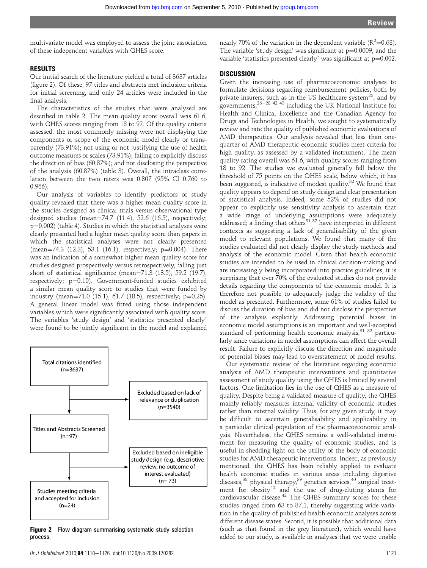multivariate model was employed to assess the joint association of these independent variables with QHES score.

# RESULTS

Our initial search of the literature yielded a total of 3637 articles (figure 2). Of these, 97 titles and abstracts met inclusion criteria for initial screening, and only 24 articles were included in the final analysis.

The characteristics of the studies that were analysed are described in table 2. The mean quality score overall was 61.6, with QHES scores ranging from 18 to 92. Of the quality criteria assessed, the most commonly missing were not displaying the components or scope of the economic model clearly or transparently (73.91%); not using or not justifying the use of health outcome measures or scales (73.91%); failing to explicitly discuss the direction of bias (60.87%); and not disclosing the perspective of the analysis (60.87%) (table 3). Overall, the intraclass correlation between the two raters was 0.807 (95% CI 0.760 to 0.966).

Our analysis of variables to identify predictors of study quality revealed that there was a higher mean quality score in the studies designed as clinical trials versus observational type designed studies (mean=74.7 (11.4), 52.6 (16.5), respectively;  $p=0.002$ ) (table 4). Studies in which the statistical analyses were clearly presented had a higher mean quality score than papers in which the statistical analyses were not clearly presented (mean=74.3 (12.3), 53.1 (16.1), respectively;  $p=0.004$ ). There was an indication of a somewhat higher mean quality score for studies designed prospectively versus retrospectively, falling just short of statistical significance (mean=71.3 (13.5), 59.2 (19.7), respectively; p=0.10). Government-funded studies exhibited a similar mean quality score to studies that were funded by industry (mean=71.0 (15.1), 61.7 (18.5), respectively; p=0.25). A general linear model was fitted using those independent variables which were significantly associated with quality score. The variables 'study design' and 'statistics presented clearly' were found to be jointly significant in the model and explained



**Figure 2** Flow diagram summarising systematic study selection process.

nearly 70% of the variation in the dependent variable ( $R^2$ =0.68). The variable 'study design' was significant at  $p=0.0009$ , and the variable 'statistics presented clearly' was significant at  $p=0.002$ .

#### **DISCUSSION**

Given the increasing use of pharmacoeconomic analyses to formulate decisions regarding reimbursement policies, both by private insurers, such as in the US healthcare system<sup>25</sup>, and by governments,  $26-28$  42 43 including the UK National Institute for Health and Clinical Excellence and the Canadian Agency for Drugs and Technologies in Health, we sought to systematically review and rate the quality of published economic evaluations of AMD therapeutics. Our analysis revealed that less than onequarter of AMD therapeutic economic studies meet criteria for high quality, as assessed by a validated instrument. The mean quality rating overall was 61.6, with quality scores ranging from 18 to 92. The studies we evaluated generally fell below the threshold of 75 points on the QHES scale, below which, it has been suggested, is indicative of modest quality.<sup>32</sup> We found that quality appears to depend on study design and clear presentation of statistical analysis. Indeed, some 52% of studies did not appear to explicitly use sensitivity analysis to ascertain that a wide range of underlying assumptions were adequately addressed; a finding that others<sup>31 37</sup> have interpreted in different contexts as suggesting a lack of generalisability of the given model to relevant populations. We found that many of the studies evaluated did not clearly display the study methods and analysis of the economic model. Given that health economic studies are intended to be used in clinical decision-making and are increasingly being incorporated into practice guidelines, it is surprising that over 70% of the evaluated studies do not provide details regarding the components of the economic model. It is therefore not possible to adequately judge the validity of the model as presented. Furthermore, some 61% of studies failed to discuss the duration of bias and did not disclose the perspective of the analysis explicitly. Addressing potential biases in economic model assumptions is an important and well-accepted standard of performing health economic analysis,  $31^{32}$  particularly since variations in model assumptions can affect the overall result. Failure to explicitly discuss the direction and magnitude of potential biases may lead to overstatement of model results.

Our systematic review of the literature regarding economic analysis of AMD therapeutic interventions and quantitative assessment of study quality using the QHES is limited by several factors. One limitation lies in the use of QHES as a measure of quality. Despite being a validated measure of quality, the QHES mainly reliably measures internal validity of economic studies rather than external validity. Thus, for any given study, it may be difficult to ascertain generalisability and applicability in a particular clinical population of the pharmacoeconomic analysis. Nevertheless, the QHES remains a well-validated instrument for measuring the quality of economic studies, and is useful in shedding light on the utility of the body of economic studies for AMD therapeutic interventions. Indeed, as previously mentioned, the QHES has been reliably applied to evaluate health economic studies in various areas including digestive diseases,<sup>38</sup> physical therapy,<sup>39</sup> genetics services,<sup>40</sup> surgical treatment for obesity<sup>41</sup> and the use of drug-eluting stents for cardiovascular disease.<sup>42</sup> The QHES summary scores for these studies ranged from 63 to 87.1, thereby suggesting wide variation in the quality of published health economic analyses across different disease states. Second, it is possible that additional data (such as that found in the grey literature), which would have added to our study, is available in analyses that we were unable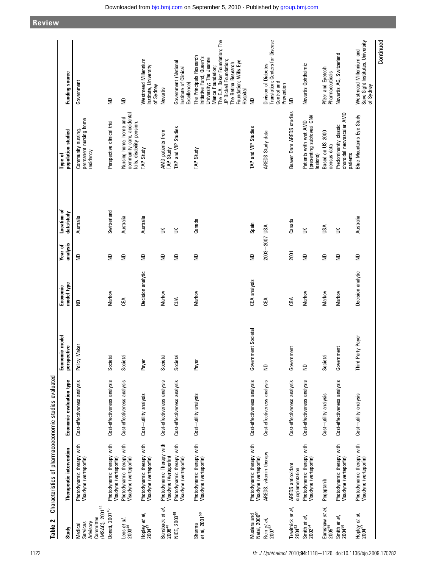| Study                                                          | Therapeutic intervention                            | Economic evaluation type    | Economic model<br>perspective | model type<br>Economic | analysis<br>Year of | Location of<br>data/study | population studied<br>Type of                                                      | Funding source                                                                                                                                                                                                            |
|----------------------------------------------------------------|-----------------------------------------------------|-----------------------------|-------------------------------|------------------------|---------------------|---------------------------|------------------------------------------------------------------------------------|---------------------------------------------------------------------------------------------------------------------------------------------------------------------------------------------------------------------------|
| (MSAC), 200144<br>Committee<br>Advisory<br>Services<br>Medical | Photodynamic therapy with<br>Visudyne (verteporfin) | Cost-effectiveness analysis | Maker<br>Policy               | $\epsilon$             | Э                   | Australia                 | permanent nursing home<br>Community nursing,<br>residency                          | Government                                                                                                                                                                                                                |
| Donati, 2007 <sup>45</sup>                                     | Photodynamic therapy with<br>Visudyne (verteporfin) | Cost-effectiveness analysis | Societal                      | Markov                 | Э                   | Switzerland               | Perspective clinical trial                                                         | ₽                                                                                                                                                                                                                         |
| Lees <i>et al</i> ,<br>2003 <sup>46</sup>                      | Photodynamic therapy with<br>Visudyne (verteporfin) | Cost-effectiveness analysis | Societal                      | CEA                    | S                   | Australia                 | community care, accidental<br>Nursing home, home and<br>falls, disability pension. | $\epsilon$                                                                                                                                                                                                                |
| đ,<br>Hopley <i>et</i><br>2004 <sup>47</sup>                   | Photodynamic therapy with<br>Visudyne (verteporfin) | Cost-utility analysis       | Payer                         | Decision analytic      | 呈                   | Australia                 | TAP Study                                                                          | Westmead Millennium<br>Institute, University<br>of Sydney                                                                                                                                                                 |
| Bansback <i>et al</i> ,<br>2006 <sup>48</sup>                  | Photodynamic Therapy with<br>Visudyne (Verteporfin) | Cost-effectiveness analysis | Societal                      | Markov                 | ₽                   | $\leq$                    | AMD patients from<br>TAP Study                                                     | Novartis                                                                                                                                                                                                                  |
| NICE, 200349                                                   | Photodynamic therapy with<br>Visudyne (verteporfin) | Cost-effectiveness analysis | Societal                      | <b>AUG</b>             | Э                   | $\leq$                    | TAP and VIP Studies                                                                | Government (National<br>nstitute of Clinical<br>Excellence)                                                                                                                                                               |
| et al, 2001 <sup>50</sup><br>Shama                             | Photodynamic therapy with<br>Visudyne (verteporfin) | Cost-utility analysis       | Payer                         | Markov                 | S                   | Canada                    | TAP Study                                                                          | The E.A. Baker Foundation; The<br>The Principals Research<br>nitiative Fund, Queen's<br>University; The Jeanne<br>JP Bickell Foundation;<br>Foundation; Wills Eye<br>The Retina Research<br>Mance Foundation;<br>Hospital |
| Muslera and<br>Natal, 2006 <sup>51</sup>                       | Photodynamic therapy with<br>Visudyne (verteporfin) | Cost-effectiveness analysis | Government Societal           | <b>CEA</b> analysis    | Э                   | Spain                     | TAP and VIP Studies                                                                | $\epsilon$                                                                                                                                                                                                                |
| Rein <i>et al</i> ,<br>2007 <sup>52</sup>                      | AREDS, vitamin therapy                              | Cost-effectiveness analysis | ₽                             | СEA                    | 2003-2007 USA       |                           | AREDS Study data                                                                   | Translation; Centers for Disease<br>Division of Diabetes<br>Control and<br>Prevention                                                                                                                                     |
| Trevithick et al,<br>2004 <sup>53</sup>                        | <b>AREDS</b> antioxidant<br>supplementation         | Cost-effectiveness analysis | nment<br>Goverr               | CBA                    | 2001                | Canada                    | Beaver Dam AREDS studies                                                           | $\epsilon$                                                                                                                                                                                                                |
| र्न<br>Smith et $\frac{1}{2002}$ <sup>54</sup>                 | Photodynamic therapy with<br>Visudyne (verteporfin) | Cost-effectiveness analysis | $\epsilon$                    | Markov                 | S                   | $\leq$                    | (presenting subfoveal CNV<br>Patients with wet AMD<br>lesions)                     | Novartis Ophthalmic                                                                                                                                                                                                       |
| Earnshaw <i>et al</i> ,<br>2005 <sup>55</sup>                  | Pegaptanib                                          | Cost-utility analysis       | Societal                      | Markov                 | 呈                   | USA                       | Based on US 2000<br>census data                                                    | Pfizer and Eyetech<br>Pharmaceuticals                                                                                                                                                                                     |
| र्न,<br>Smith et a<br>2004 <sup>56</sup>                       | Photodynamic therapy with<br>Visudyne (verteporfin) | Cost-effectiveness analysis | nment<br>Govern               | Markov                 | $\epsilon$          | $\leq$                    | choroidal neovascular AMD<br>Predominantly classic<br>patients                     | Novartis AG, Switzerland                                                                                                                                                                                                  |
| Hopley <i>et al</i> ,<br>2004 <sup>57</sup>                    | Photodynamic therapy with<br>Visudyne (verteporfin) | Cost-utility analysis       | Party Payer<br>Third I        | Decision analytic      | S                   | Australia                 | Blue Mountains Eye Study                                                           | Save Sight Institutes, University<br>Westmead Millennium and<br>of Sydney                                                                                                                                                 |
|                                                                |                                                     |                             |                               |                        |                     |                           |                                                                                    | Continued                                                                                                                                                                                                                 |

Table 2 Characteristics of pharmacoeconomic studies evaluated Table 2 Characteristics of pharmacoeconomic studies evaluated

Review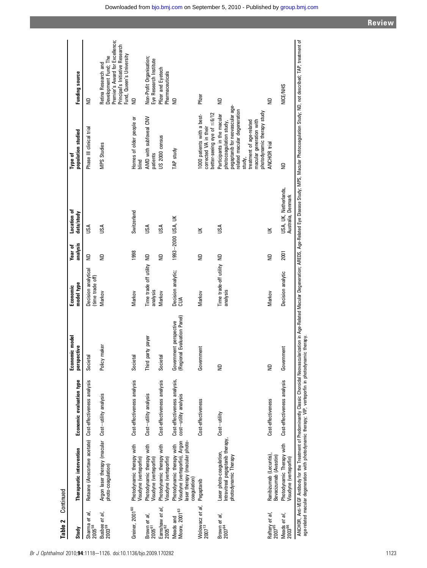| Table 2                                      | Continued                                                                                                  |                                                       |                                                       |                                         |                     |                                             |                                                                                                                                                                                                                                |                                                                                                                                                       |
|----------------------------------------------|------------------------------------------------------------------------------------------------------------|-------------------------------------------------------|-------------------------------------------------------|-----------------------------------------|---------------------|---------------------------------------------|--------------------------------------------------------------------------------------------------------------------------------------------------------------------------------------------------------------------------------|-------------------------------------------------------------------------------------------------------------------------------------------------------|
| Study                                        | Therapeutic intervention                                                                                   | Economic evaluation type                              | Economic model<br>perspective                         | model type<br>Economic                  | analysis<br>Year of | Location of<br>data/study                   | population studied<br>Type of                                                                                                                                                                                                  | Funding source                                                                                                                                        |
| रू,<br>đ<br>Sharma<br>$\mathbf{2005}^{58}$   | Retaane (Anecortave acetate) Cost-effectiveness analysis                                                   |                                                       | Societa                                               | Decision analytical<br>(time trade off) | g                   | USA                                         | Phase III dinical trial                                                                                                                                                                                                        | g                                                                                                                                                     |
| Busbee et al,<br>2003 <sup>59</sup>          | Argon laser therapy (macular Cost-utility analysis<br>photo-coagulation)                                   |                                                       | maker<br>Policy                                       | Markov                                  | å                   | USA                                         | MPS Studies                                                                                                                                                                                                                    | Premier's Award for Excellence;<br>Principal's Initiative Research<br>Fund, Queen's University<br>Development Fund; The<br><b>Retina Research and</b> |
| Greiner, 2001 <sup>60</sup>                  | Photodynamic therapy with<br>Visudyne (verteporfin)                                                        | Cost-effectiveness analysis                           | Societa                                               | Markov                                  | 1998                | Switzerland                                 | Homes of older people or<br>blind                                                                                                                                                                                              | g                                                                                                                                                     |
| Brown et al,<br>$2005^{61}$                  | Photodynamic therapy with<br>Visudyne (verteporfin)                                                        | Cost-utility analysis                                 | Third party payer                                     | Time trade off utility<br>analysis      | ₽                   | USA                                         | AMD with subfoveal CNV<br>patients                                                                                                                                                                                             | Non-Profit Organisation;<br>Eye Research Institute                                                                                                    |
| Earnshaw et al,<br>$\mathbf{2005}^{62}$      | Photodynamic therapy with<br>Visudyne (verteporfin)                                                        | Cost-effectiveness analysis                           | Societa                                               | Markov                                  | $\epsilon$          | USA                                         | US 2000 census                                                                                                                                                                                                                 | Pfizer and Eyetech<br>Pharmaceuticals                                                                                                                 |
| Moore, 2001 <sup>63</sup><br>Meads and       | Visudyne (verteporfin), Argon<br>aser therapy (macular photo-<br>Photodynamic therapy with<br>coagulation) | Cost-effectiveness analysis,<br>cost-utility analysis | (Regional Evaluation Panel)<br>Government perspective | Decision analytic;<br>З                 | 1993-2000 USA, UK   |                                             | TAP study                                                                                                                                                                                                                      | $\trianglerighteq$                                                                                                                                    |
| Wolowacz et al,<br>$2007^{13}$               | Pegaptanib                                                                                                 | Cost-effectiveness                                    | Government                                            | Markov                                  | ₽                   | $\leq$                                      | better-seeing eye of $\leq 6/12$<br>000 patients with a best-<br>corrected VA in their                                                                                                                                         | Pfizer                                                                                                                                                |
| Brown et al,<br>2007 <sup>64</sup>           | Intravitreal pegaptanib therapy,<br>Laser photo-coagulation,<br>photodynamic Therapy                       | Cost—utility                                          | ₽                                                     | Time trade-off utility<br>analysis      | ξ                   | USA                                         | pegaptanib for neovascular age-<br>related macular degeneration<br>photodynamic therapy study<br>Participants in the macular<br>treatment of age-related<br>macular generation with<br>photocoagulation study<br>study,        | ₽                                                                                                                                                     |
| Raftery <i>et al</i> ,<br>2007 <sup>65</sup> | Ranibizumab (Lecuntis),<br>Bevacizumab (Avastin)                                                           | Cost-effectiveness                                    | ₽                                                     | Markov                                  | g                   | $\leq$                                      | ANCHOR trial                                                                                                                                                                                                                   | g                                                                                                                                                     |
| Meads <i>et al</i> ,<br>2003 <sup>66</sup>   | Photodynamic Therapy with<br>Visudyne (verteporfin)                                                        | Cost-effectiveness analysis                           | Government                                            | Decision analytic                       | 2001                | USA, UK, Netherlands,<br>Australia, Denmark | ₽                                                                                                                                                                                                                              | <b>NICE/NHS</b>                                                                                                                                       |
|                                              |                                                                                                            |                                                       | دیا۔<br>منصد                                          |                                         |                     |                                             | ANCHOR, Anti-VEGF Antibody for the Treatment of Predominantly Classic Choroidal Neovascularization in Age-Related Macutar Degeneration; AREDS, Age-Related Eye Disease Study; MPS, Macular Photocoagulation Study; ND, not des |                                                                                                                                                       |

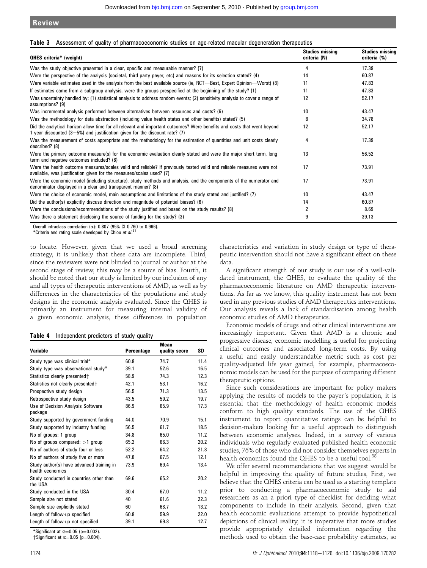#### Table 3 Assessment of quality of pharmacoeconomic studies on age-related macular degeneration therapeutics

| <b>QHES</b> criteria* (weight)                                                                                                                                                                           | <b>Studies missing</b><br>criteria (N) | <b>Studies missing</b><br>criteria (%) |
|----------------------------------------------------------------------------------------------------------------------------------------------------------------------------------------------------------|----------------------------------------|----------------------------------------|
| Was the study objective presented in a clear, specific and measurable manner? (7)                                                                                                                        | 4                                      | 17.39                                  |
| Were the perspective of the analysis (societal, third party payer, etc) and reasons for its selection stated? (4)                                                                                        | 14                                     | 60.87                                  |
| Were variable estimates used in the analysis from the best available source (ie, RCT—Best, Expert Opinion—Worst) (8)                                                                                     | 11                                     | 47.83                                  |
| If estimates came from a subgroup analysis, were the groups prespecified at the beginning of the study? (1)                                                                                              | 11                                     | 47.83                                  |
| Was uncertainty handled by: (1) statistical analysis to address random events; (2) sensitivity analysis to cover a range of<br>assumptions? (9)                                                          | 12                                     | 52.17                                  |
| Was incremental analysis performed between alternatives between resources and costs? (6)                                                                                                                 | 10                                     | 43.47                                  |
| Was the methodology for data abstraction (including value health states and other benefits) stated? (5)                                                                                                  | 8                                      | 34.78                                  |
| Did the analytical horizon allow time for all relevant and important outcomes? Were benefits and costs that went beyond<br>1 year discounted $(3-5%)$ and justification given for the discount rate? (7) | 12                                     | 52.17                                  |
| Was the measurement of costs appropriate and the methodology for the estimation of quantities and unit costs clearly<br>described? (8)                                                                   | 4                                      | 17.39                                  |
| Were the primary outcome measure(s) for the economic evaluation clearly stated and were the major short term, long<br>term and negative outcomes included? (6)                                           | 13                                     | 56.52                                  |
| Were the health outcome measures/scales valid and reliable? If previously tested valid and reliable measures were not<br>available, was justification given for the measures/scales used? (7)            | 17                                     | 73.91                                  |
| Were the economic model (including structure), study methods and analysis, and the components of the numerator and<br>denominator displayed in a clear and transparent manner? (8)                       | 17                                     | 73.91                                  |
| Were the choice of economic model, main assumptions and limitations of the study stated and justified? (7)                                                                                               | 10                                     | 43.47                                  |
| Did the author(s) explicitly discuss direction and magnitude of potential biases? (6)                                                                                                                    | 14                                     | 60.87                                  |
| Were the conclusions/recommendations of the study justified and based on the study results? (8)                                                                                                          | 2                                      | 8.69                                   |
| Was there a statement disclosing the source of funding for the study? (3)                                                                                                                                |                                        | 39.13                                  |

Overall intraclass correlation  $(\alpha)$ : 0.807 (95% CI 0.760 to 0.966).

\*Criteria and rating scale developed by Chiou et al.<sup>31</sup>

to locate. However, given that we used a broad screening strategy, it is unlikely that these data are incomplete. Third, since the reviewers were not blinded to journal or author at the second stage of review, this may be a source of bias. Fourth, it should be noted that our study is limited by our inclusion of any and all types of therapeutic interventions of AMD, as well as by differences in the characteristics of the populations and study designs in the economic analysis evaluated. Since the QHES is primarily an instrument for measuring internal validity of a given economic analysis, these differences in population

Table 4 Independent predictors of study quality

| <b>Variable</b>                                               | Percentage | Mean<br>quality score | SD   |
|---------------------------------------------------------------|------------|-----------------------|------|
| Study type was clinical trial*                                | 60.8       | 74.7                  | 11.4 |
| Study type was observational study*                           | 39.1       | 52.6                  | 16.5 |
| Statistics clearly presented <sup>+</sup>                     | 58.9       | 74.3                  | 12.3 |
| Statistics not clearly presented +                            | 42.1       | 53.1                  | 16.2 |
| Prospective study design                                      | 56.5       | 71.3                  | 13.5 |
| Retrospective study design                                    | 43.5       | 59.2                  | 19.7 |
| Use of Decision Analysis Software<br>package                  | 86.9       | 65.9                  | 17.3 |
| Study supported by government funding                         | 44.0       | 70.9                  | 15.1 |
| Study supported by industry funding                           | 56.5       | 61.7                  | 18.5 |
| No of groups: 1 group                                         | 34.8       | 65.0                  | 11.2 |
| No of groups compared: $>1$ group                             | 65.2       | 66.3                  | 20.2 |
| No of authors of study four or less                           | 52.2       | 64.2                  | 21.8 |
| No of authors of study five or more                           | 47.8       | 67.5                  | 12.1 |
| Study author(s) have advanced training in<br>health economics | 73.9       | 69.4                  | 13.4 |
| Study conducted in countries other than<br>the USA            | 69.6       | 65.2                  | 20.2 |
| Study conducted in the USA                                    | 30.4       | 67.0                  | 11.2 |
| Sample size not stated                                        | 40         | 61.6                  | 22.3 |
| Sample size explicitly stated                                 | 60         | 68.7                  | 13.2 |
| Length of follow-up specified                                 | 60.8       | 59.9                  | 22.0 |
| Length of follow-up not specified                             | 39.1       | 69.8                  | 12.7 |

\*Significant at  $\alpha$  = 0.05 (p = 0.002).

 $\frac{1}{2}$ Significant at  $\alpha = 0.05$  (p=0.004).

characteristics and variation in study design or type of therapeutic intervention should not have a significant effect on these data.

A significant strength of our study is our use of a well-validated instrument, the QHES, to evaluate the quality of the pharmacoeconomic literature on AMD therapeutic interventions. As far as we know, this quality instrument has not been used in any previous studies of AMD therapeutics interventions. Our analysis reveals a lack of standardisation among health economic studies of AMD therapeutics.

Economic models of drugs and other clinical interventions are increasingly important. Given that AMD is a chronic and progressive disease, economic modelling is useful for projecting clinical outcomes and associated long-term costs. By using a useful and easily understandable metric such as cost per quality-adjusted life year gained, for example, pharmacoeconomic models can be used for the purpose of comparing different therapeutic options.

Since such considerations are important for policy makers applying the results of models to the payer's population, it is essential that the methodology of health economic models conform to high quality standards. The use of the QHES instrument to report quantitative ratings can be helpful to decision-makers looking for a useful approach to distinguish between economic analyses. Indeed, in a survey of various individuals who regularly evaluated published health economic studies, 76% of those who did not consider themselves experts in health economics found the QHES to be a useful tool.<sup>3</sup>

We offer several recommendations that we suggest would be helpful in improving the quality of future studies, First, we believe that the QHES criteria can be used as a starting template prior to conducting a pharmacoeconomic study to aid researchers as an a priori type of checklist for deciding what components to include in their analysis. Second, given that health economic evaluations attempt to provide hypothetical depictions of clinical reality, it is imperative that more studies provide appropriately detailed information regarding the methods used to obtain the base-case probability estimates, so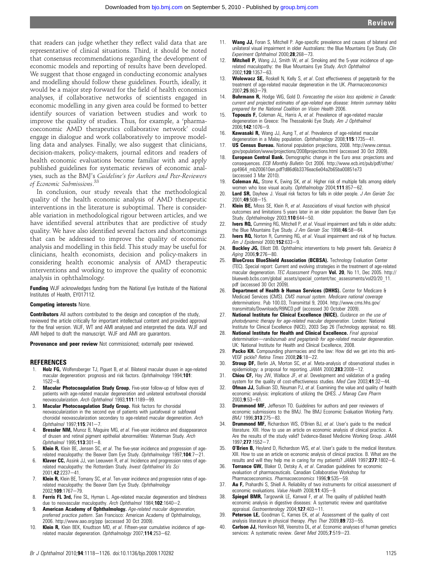that readers can judge whether they reflect valid data that are representative of clinical situations. Third, it should be noted that consensus recommendations regarding the development of economic models and reporting of results have been developed. We suggest that those engaged in conducting economic analyses and modelling should follow these guidelines. Fourth, ideally, it would be a major step forward for the field of health economics analyses, if collaborative networks of scientists engaged in economic modelling in any given area could be formed to better identify sources of variation between studies and work to improve the quality of studies. Thus, for example, a 'pharmacoeconomic AMD therapeutics collaborative network' could engage in dialogue and work collaboratively to improve modelling data and analyses. Finally, we also suggest that clinicians, decision-makers, policy-makers, journal editors and readers of health economic evaluations become familiar with and apply published guidelines for systematic reviews of economic analyses, such as the BMJ's Guideline's for Authors and Peer-Reviewers of Economic Submissions.<sup>33</sup>

In conclusion, our study reveals that the methodological quality of the health economic analysis of AMD therapeutic interventions in the literature is suboptimal. There is considerable variation in methodological rigour between articles, and we have identified several attributes that are predictive of study quality. We have also identified several factors and shortcomings that can be addressed to improve the quality of economic analysis and modelling in this field. This study may be useful for clinicians, health economists, decision and policy-makers in considering health economic analysis of AMD therapeutic interventions and working to improve the quality of economic analysis in ophthalmology.

**Funding** WJF acknowledges funding from the National Eye Institute of the National Institutes of Health, EY017112.

#### Competing interests None.

**Contributors** All authors contributed to the design and conception of the study, reviewed the article critically for important intellectual content and provided approval for the final version. WJF, WT and AMI analysed and interpreted the data. WJF and AMI helped to draft the manuscript. WJF and AMI are guarantors.

**Provenance and peer review** Not commissioned; externally peer reviewed.

#### REFERENCES

- Holz FG, Wolfensberger TJ, Piguet B, et al. Bilateral macular drusen in age-related macular degeneration: prognosis and risk factors. Ophthalmology 1994;101:  $1522 - 8$
- 2. Macular Photocoagulation Study Group. Five-year follow-up of fellow eyes of patients with age-related macular degeneration and unilateral extrafoveal choroidal neovascularization. Arch Ophthalmol 1993;111:1189-99.
- 3. Macular Photocoagulation Study Group. Risk factors for choroidal neovascularization in the second eye of patients with juxtafoveal or subfoveal choroidal neovascularization secondary to age-related macular degeneration. Arch Ophthalmol 1997;115:741-7.
- 4. Bressler NM, Munoz B, Maguire MG, et al. Five-year incidence and disappearance of drusen and retinal pigment epithelial abnormalities: Waterman Study. Arch  $Onbthalmol$  1995:113:301-8.
- 5. **Klein R,** Klein BE, Jensen SC, et al. The five-year incidence and progression of agerelated maculopathy: the Beaver Dam Eye Study. Ophthalmology 1997;104:7-21.
- 6. **Klaver CC,** Assink JJ, van Leeuwen R, et al. Incidence and progression rates of agerelated maculopathy: the Rotterdam Study. Invest Ophthalmol Vis Sci 2001;42:2237-41.
- 7. Klein R, Klein BE, Tomany SC, et al. Ten-year incidence and progression rates of agerelated maculopathy: the Beaver Dam Eye Study. Ophthalmology 2002:109:1767-79.
- 8. Ferris FL 3rd, Fine SL, Hyman L. Age-related macular degeneration and blindness due to neovascular maculopathy. Arch Ophthalmol 1984;102:1640-2.
- 9. **American Academy of Ophthalmology.** Age-related macular degeneration, preferred practice pattern. San Francisco: American Academy of Ophthalmology, 2006. http://www.aao.org/ppp (accessed 30 Oct 2009).
- 10. **Klein R,** Klein BEK, Knudtson MD, et al. Fifteen-year cumulative incidence of agerelated macular degeneration. Ophthalmology 2007;114:253-62.
- 11. **Wang JJ, Foran S, Mitchell P, Age-specific prevalence and causes of bilateral and** unilateral visual impairment in older Australians: the Blue Mountains Eye Study. Clin Experiment Ophthalmol 2000;28;268-73.
- 12. **Mitchell P,** Wang JJ, Smith W, et al. Smoking and the 5-year incidence of agerelated maculopathy: the Blue Mountains Eye Study. Arch Ophthalmol  $2002:120:1357 - 63$
- 13. Wolowacz SE, Roskell N, Kelly S, et al. Cost effectiveness of pegaptanib for the treatment of age-related macular degeneration in the UK. Pharmacoeconomics 2007:25:863-79
- 14. **Buhrmann R,** Hodge WG, Gold D. Forecasting the vision loss epidemic in Canada: current and projected estimates of age-related eye disease: Interim summary tables prepared for the National Coalition on Vision Health 2006.
- 15. Topouzis F, Coleman AL, Harris A, et al. Prevalence of age-related macular degeneration in Greece: The Thessaloniki Eye Study. Am J Ophthalmol  $2006:142:1076-9$
- 16. Kawasaki R, Wang JJ, Aung T, et al. Prevalence of age-related macular degeneration in a Malay population. Ophthalmology 2008;115:1735-41.
- 17. **US Census Bureau.** National population projections, 2008. http://www.census. gov/population/www/projections/2008projections.html (accessed 30 Oct 2009).
- 18. **European Central Bank.** Demographic change in the Euro area: projections and consequences. ECB Monthly Bulletin Oct 2006. http://www.ecb.int/pub/pdf/other/ pp4964\_mb200610en.pdf?d86d6b3376eac6e04a2b65ba00851e73 (accessed 3 Mar 2010).
- 19. Coleman AL, Stone K, Ewing SK, et al. Higher risk of multiple falls among elderly women who lose visual acuity. Ophthalmology 2004;111:857-62.
- 20. Lord SR, Dayhew J. Visual risk factors for falls in older people. J Am Geriatr Soc  $2001 \cdot 49 \cdot 508 - 15$
- 21. Klein BE, Moss SE, Klein R, et al. Associations of visual function with physical outcomes and limitations 5 years later in an older population: the Beaver Dam Eye Study. Ophthalmology 2003;110:644-50.
- 22. **Ivers RQ,** Cumming RG, Mitchell P, et al. Visual impairment and falls in older adults: the Blue Mountains Eye Study. J Am Geriatr Soc 1998;46:58-64.
- 23. **Ivers RQ,** Norton R, Cumming RG, et al. Visual impairment and risk of hip fracture. Am J Epidemiol 2000;152:633-9.
- 24. **Buckley JG,** Elliott DB. Ophthalmic interventions to help prevent falls. Geriatrics  $\theta$ Aging 2006:9:276-80.
- 25. BlueCross BlueShield Association (BCBSA). Technology Evaluation Center (TEC). Special report: Current and evolving strategies in the treatment of age-related macular degeneration. TEC Assessment Program Vol. 20, No 11, Dec 2005. http:// blueweb.bcbs.com/global\_assets/special\_content/tec\_assessments/vol20/20\_11. pdf (accessed 30 Oct 2009).
- 26. Department of Health & Human Services (DHHS). Center for Medicare & Medicaid Services (CMS). CMS manual system. Medicare national coverage determinations. Pub 100.03, Transmittal 9, 2004. http://www.cms.hhs.gov/ transmittals/Downloads/R9NCD.pdf (accessed 30 October 2009).
- 27. National Institute for Clinical Excellence (NICE). Guidance on the use of photodynamic therapy for age-related macular degeneration. London: National Institute for Clinical Excellence (NICE), 2003 Sep 26 (Technology appraisal; no. 68).
- 28. National Institute for Health and Clinical Excellence. Final appraisal determination-ranibizumab and pegaptanib for age-related macular degeneration. UK: National Institute for Health and Clinical Excellence, 2008.
- 29. **Packo KH.** Compounding pharmacies and the law: How did we get into this anti-VEGF pickle? Retina Times 2008;26:18-22.
- 30. **Stroup DF,** Berlin JA, Morton SC, et al. Meta-analysis of observational studies in epidemiology: a proposal for reporting. JAMA 2000;283:2008-12.
- 31. Chiou CF, Hay JW, Wallace JF, et al. Development and validation of a grading system for the quality of cost-effectiveness studies. Med Care 2003;41:32-44
- 32. **Ofman JJ,** Sullivan SD, Neuman PJ, et al. Examining the value and quality of health economic analysis: implications of utilizing the QHES. J Manag Care Pharm  $2003:9:53-61$
- 33. **Drummond MF,** Jefferson TO. Guidelines for authors and peer reviewers of economic submissions to the BMJ. The BMJ Economic Evaluation Working Party. BMJ 1996;313:275-83.
- 34. Drummond MF, Richardson WS, O'Brien BJ, et al. User's guide to the medical literature. XIII. How to use an article on economic analysis of clinical practice. A. Are the results of the study valid? Evidence-Based Medicine Working Group. JAMA 1997:277:1552-7.
- 35. **O'Brien B,** Heyland D, Richardson WS, et al. User's guide to the medical literature. XIII. How to use an article on economic analysis of clinical practice. B. What are the results and will they help me in caring for my patients?  $JAMA$  1997;277:1802-6.
- 36. **Torrance GW,** Blaker D, Detsky A, et al. Canadian guidelines for economic evaluation of pharmaceuticals. Canadian Collaborative Workshop for Pharmacoeconomics. Pharmacoeconomics 1996;9:535-59.
- 37. **Au F,** Prahardhi S, Shiell A. Reliability of two instruments for critical assessment of economic evaluations. Value Health  $2008;11:435-9$ .
- 38. Spiegel BMR, Targownik LE, Kanwal F, et al. The quality of published health economic analysis in digestive diseases: A systematic review and quantitative appraisal. Gastroenterology 2004;127:403-11.
- 39. Peterson LE, Goodman C, Karnes EK, et al. Assessment of the quality of cost analysis literature in physical therapy. Phys Ther 2009;89:733-55.
- 40. **Carlson JJ, Henrikson NB, Veenstra DL, et al. Economic analyses of human genetics** services: A systematic review. Genet Med 2005;7:519-23.